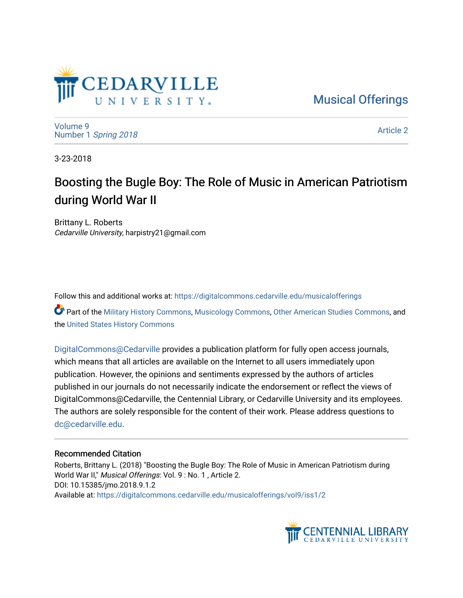

[Musical Offerings](https://digitalcommons.cedarville.edu/musicalofferings) 

[Volume 9](https://digitalcommons.cedarville.edu/musicalofferings/vol9) Number 1 [Spring 2018](https://digitalcommons.cedarville.edu/musicalofferings/vol9/iss1) 

[Article 2](https://digitalcommons.cedarville.edu/musicalofferings/vol9/iss1/2) 

3-23-2018

# Boosting the Bugle Boy: The Role of Music in American Patriotism during World War II

Brittany L. Roberts Cedarville University, harpistry21@gmail.com

Follow this and additional works at: [https://digitalcommons.cedarville.edu/musicalofferings](https://digitalcommons.cedarville.edu/musicalofferings?utm_source=digitalcommons.cedarville.edu%2Fmusicalofferings%2Fvol9%2Fiss1%2F2&utm_medium=PDF&utm_campaign=PDFCoverPages) 

Part of the [Military History Commons](http://network.bepress.com/hgg/discipline/504?utm_source=digitalcommons.cedarville.edu%2Fmusicalofferings%2Fvol9%2Fiss1%2F2&utm_medium=PDF&utm_campaign=PDFCoverPages), [Musicology Commons](http://network.bepress.com/hgg/discipline/521?utm_source=digitalcommons.cedarville.edu%2Fmusicalofferings%2Fvol9%2Fiss1%2F2&utm_medium=PDF&utm_campaign=PDFCoverPages), [Other American Studies Commons](http://network.bepress.com/hgg/discipline/445?utm_source=digitalcommons.cedarville.edu%2Fmusicalofferings%2Fvol9%2Fiss1%2F2&utm_medium=PDF&utm_campaign=PDFCoverPages), and the [United States History Commons](http://network.bepress.com/hgg/discipline/495?utm_source=digitalcommons.cedarville.edu%2Fmusicalofferings%2Fvol9%2Fiss1%2F2&utm_medium=PDF&utm_campaign=PDFCoverPages) 

[DigitalCommons@Cedarville](http://digitalcommons.cedarville.edu/) provides a publication platform for fully open access journals, which means that all articles are available on the Internet to all users immediately upon publication. However, the opinions and sentiments expressed by the authors of articles published in our journals do not necessarily indicate the endorsement or reflect the views of DigitalCommons@Cedarville, the Centennial Library, or Cedarville University and its employees. The authors are solely responsible for the content of their work. Please address questions to [dc@cedarville.edu.](mailto:dc@cedarville.edu)

#### Recommended Citation

Roberts, Brittany L. (2018) "Boosting the Bugle Boy: The Role of Music in American Patriotism during World War II," Musical Offerings: Vol. 9: No. 1, Article 2. DOI: 10.15385/jmo.2018.9.1.2 Available at: [https://digitalcommons.cedarville.edu/musicalofferings/vol9/iss1/2](https://digitalcommons.cedarville.edu/musicalofferings/vol9/iss1/2?utm_source=digitalcommons.cedarville.edu%2Fmusicalofferings%2Fvol9%2Fiss1%2F2&utm_medium=PDF&utm_campaign=PDFCoverPages) 

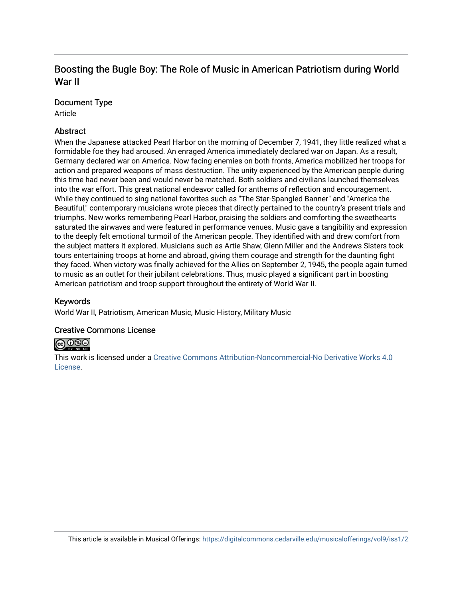### Boosting the Bugle Boy: The Role of Music in American Patriotism during World War II

#### Document Type

Article

#### Abstract

When the Japanese attacked Pearl Harbor on the morning of December 7, 1941, they little realized what a formidable foe they had aroused. An enraged America immediately declared war on Japan. As a result, Germany declared war on America. Now facing enemies on both fronts, America mobilized her troops for action and prepared weapons of mass destruction. The unity experienced by the American people during this time had never been and would never be matched. Both soldiers and civilians launched themselves into the war effort. This great national endeavor called for anthems of reflection and encouragement. While they continued to sing national favorites such as "The Star-Spangled Banner" and "America the Beautiful," contemporary musicians wrote pieces that directly pertained to the country's present trials and triumphs. New works remembering Pearl Harbor, praising the soldiers and comforting the sweethearts saturated the airwaves and were featured in performance venues. Music gave a tangibility and expression to the deeply felt emotional turmoil of the American people. They identified with and drew comfort from the subject matters it explored. Musicians such as Artie Shaw, Glenn Miller and the Andrews Sisters took tours entertaining troops at home and abroad, giving them courage and strength for the daunting fight they faced. When victory was finally achieved for the Allies on September 2, 1945, the people again turned to music as an outlet for their jubilant celebrations. Thus, music played a significant part in boosting American patriotism and troop support throughout the entirety of World War II.

#### Keywords

World War II, Patriotism, American Music, Music History, Military Music

#### Creative Commons License



This work is licensed under a [Creative Commons Attribution-Noncommercial-No Derivative Works 4.0](http://creativecommons.org/licenses/by-nc-nd/4.0/) [License](http://creativecommons.org/licenses/by-nc-nd/4.0/).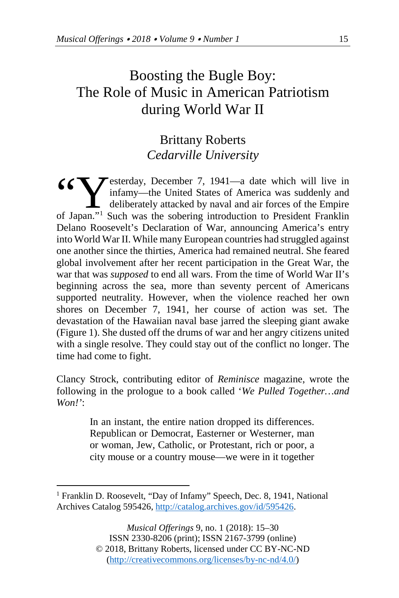## Boosting the Bugle Boy: The Role of Music in American Patriotism during World War II

### Brittany Roberts *Cedarville University*

 $\bullet \bullet \bullet \bullet$  esterday, December 7, 1941—a date which will live in infamy—the United States of America was suddenly and deliberately attacked by naval and air forces of the Empire of Japan  $n<sup>1</sup>$  Such was the sobering in infamy—the United States of America was suddenly and deliberately attacked by naval and air forces of the Empire of Japan."1 Such was the sobering introduction to President Franklin Delano Roosevelt's Declaration of War, announcing America's entry into World War II. While many European countries had struggled against one another since the thirties, America had remained neutral. She feared global involvement after her recent participation in the Great War, the war that was *supposed* to end all wars. From the time of World War II's beginning across the sea, more than seventy percent of Americans supported neutrality. However, when the violence reached her own shores on December 7, 1941, her course of action was set. The devastation of the Hawaiian naval base jarred the sleeping giant awake (Figure 1). She dusted off the drums of war and her angry citizens united with a single resolve. They could stay out of the conflict no longer. The time had come to fight.

Clancy Strock, contributing editor of *Reminisce* magazine, wrote the following in the prologue to a book called '*We Pulled Together…and Won!'*:

> In an instant, the entire nation dropped its differences. Republican or Democrat, Easterner or Westerner, man or woman, Jew, Catholic, or Protestant, rich or poor, a city mouse or a country mouse—we were in it together

l

*Musical Offerings* 9, no. 1 (2018): 15–30 ISSN 2330-8206 (print); ISSN 2167-3799 (online) © 2018, Brittany Roberts, licensed under CC BY-NC-ND [\(http://creativecommons.org/licenses/by-nc-nd/4.0/\)](http://creativecommons.org/licenses/by-nc-nd/4.0/)

<span id="page-2-0"></span><sup>&</sup>lt;sup>1</sup> Franklin D. Roosevelt, "Day of Infamy" Speech, Dec. 8, 1941, National Archives Catalog 595426[, http://catalog.archives.gov/id/595426.](http://catalog.archives.gov/id/595426)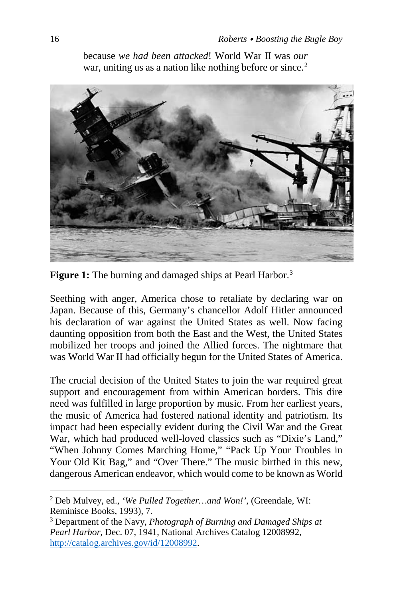

because *we had been attacked*! World War II was *our* war, uniting us as a nation like nothing before or since.<sup>[2](#page-3-0)</sup>

Figure 1: The burning and damaged ships at Pearl Harbor.<sup>[3](#page-3-1)</sup>

Seething with anger, America chose to retaliate by declaring war on Japan. Because of this, Germany's chancellor Adolf Hitler announced his declaration of war against the United States as well. Now facing daunting opposition from both the East and the West, the United States mobilized her troops and joined the Allied forces. The nightmare that was World War II had officially begun for the United States of America.

The crucial decision of the United States to join the war required great support and encouragement from within American borders. This dire need was fulfilled in large proportion by music. From her earliest years, the music of America had fostered national identity and patriotism. Its impact had been especially evident during the Civil War and the Great War, which had produced well-loved classics such as "Dixie's Land," "When Johnny Comes Marching Home," "Pack Up Your Troubles in Your Old Kit Bag," and "Over There." The music birthed in this new, dangerous American endeavor, which would come to be known as World

 $\overline{\phantom{a}}$ 

<span id="page-3-0"></span><sup>2</sup> Deb Mulvey, ed., *'We Pulled Together…and Won!'*, (Greendale, WI: Reminisce Books, 1993), 7.

<span id="page-3-1"></span><sup>3</sup> Department of the Navy, *Photograph of Burning and Damaged Ships at Pearl Harbor*, Dec. 07, 1941, National Archives Catalog 12008992, [http://catalog.archives.gov/id/12008992.](http://catalog.archives.gov/id/12008992)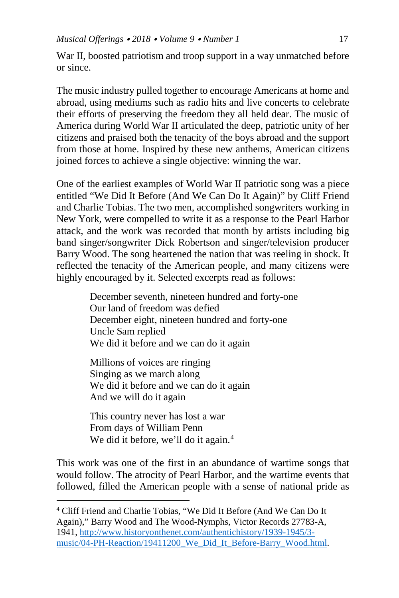War II, boosted patriotism and troop support in a way unmatched before or since.

The music industry pulled together to encourage Americans at home and abroad, using mediums such as radio hits and live concerts to celebrate their efforts of preserving the freedom they all held dear. The music of America during World War II articulated the deep, patriotic unity of her citizens and praised both the tenacity of the boys abroad and the support from those at home. Inspired by these new anthems, American citizens joined forces to achieve a single objective: winning the war.

One of the earliest examples of World War II patriotic song was a piece entitled "We Did It Before (And We Can Do It Again)" by Cliff Friend and Charlie Tobias. The two men, accomplished songwriters working in New York, were compelled to write it as a response to the Pearl Harbor attack, and the work was recorded that month by artists including big band singer/songwriter Dick Robertson and singer/television producer Barry Wood. The song heartened the nation that was reeling in shock. It reflected the tenacity of the American people, and many citizens were highly encouraged by it. Selected excerpts read as follows:

> December seventh, nineteen hundred and forty-one Our land of freedom was defied December eight, nineteen hundred and forty-one Uncle Sam replied We did it before and we can do it again

Millions of voices are ringing Singing as we march along We did it before and we can do it again And we will do it again

This country never has lost a war From days of William Penn We did it before, we'll do it again.<sup>[4](#page-4-0)</sup>

l

This work was one of the first in an abundance of wartime songs that would follow. The atrocity of Pearl Harbor, and the wartime events that followed, filled the American people with a sense of national pride as

<span id="page-4-0"></span><sup>4</sup> Cliff Friend and Charlie Tobias, "We Did It Before (And We Can Do It Again)," Barry Wood and The Wood-Nymphs, Victor Records 27783-A, 1941, [http://www.historyonthenet.com/authentichistory/1939-1945/3](http://www.historyonthenet.com/authentichistory/1939-1945/3-music/04-PH-Reaction/19411200_We_Did_It_Before-Barry_Wood.html) [music/04-PH-Reaction/19411200\\_We\\_Did\\_It\\_Before-Barry\\_Wood.html.](http://www.historyonthenet.com/authentichistory/1939-1945/3-music/04-PH-Reaction/19411200_We_Did_It_Before-Barry_Wood.html)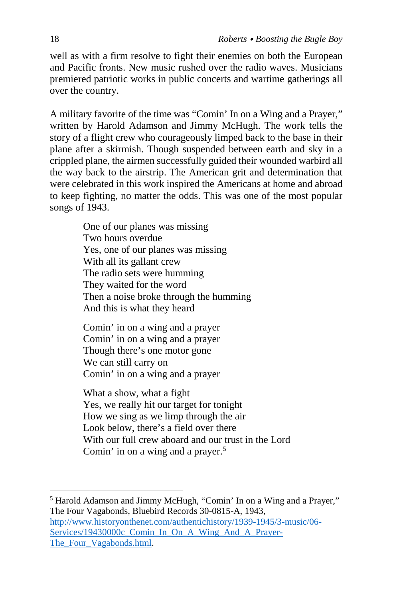well as with a firm resolve to fight their enemies on both the European and Pacific fronts. New music rushed over the radio waves. Musicians premiered patriotic works in public concerts and wartime gatherings all over the country.

A military favorite of the time was "Comin' In on a Wing and a Prayer," written by Harold Adamson and Jimmy McHugh. The work tells the story of a flight crew who courageously limped back to the base in their plane after a skirmish. Though suspended between earth and sky in a crippled plane, the airmen successfully guided their wounded warbird all the way back to the airstrip. The American grit and determination that were celebrated in this work inspired the Americans at home and abroad to keep fighting, no matter the odds. This was one of the most popular songs of 1943.

> One of our planes was missing Two hours overdue Yes, one of our planes was missing With all its gallant crew The radio sets were humming They waited for the word Then a noise broke through the humming And this is what they heard

Comin' in on a wing and a prayer Comin' in on a wing and a prayer Though there's one motor gone We can still carry on Comin' in on a wing and a prayer

What a show, what a fight Yes, we really hit our target for tonight How we sing as we limp through the air Look below, there's a field over there With our full crew aboard and our trust in the Lord Comin' in on a wing and a prayer. [5](#page-5-0)

<span id="page-5-0"></span><sup>5</sup> Harold Adamson and Jimmy McHugh, "Comin' In on a Wing and a Prayer," The Four Vagabonds, Bluebird Records 30-0815-A, 1943, [http://www.historyonthenet.com/authentichistory/1939-1945/3-music/06-](http://www.historyonthenet.com/authentichistory/1939-1945/3-music/06-Services/19430000c_Comin_In_On_A_Wing_And_A_Prayer-The_Four_Vagabonds.html) [Services/19430000c\\_Comin\\_In\\_On\\_A\\_Wing\\_And\\_A\\_Prayer-](http://www.historyonthenet.com/authentichistory/1939-1945/3-music/06-Services/19430000c_Comin_In_On_A_Wing_And_A_Prayer-The_Four_Vagabonds.html)The Four Vagabonds.html.

 $\overline{\phantom{a}}$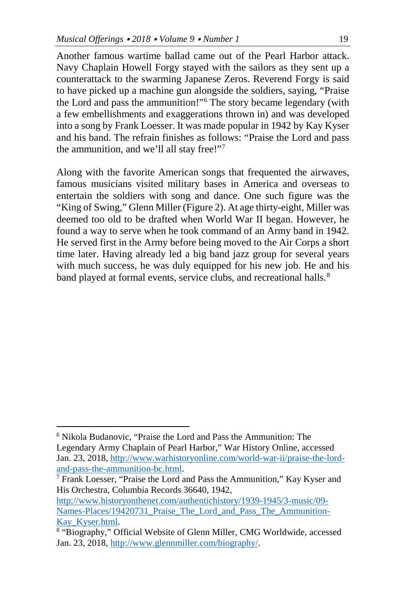Another famous wartime ballad came out of the Pearl Harbor attack. Navy Chaplain Howell Forgy stayed with the sailors as they sent up a counterattack to the swarming Japanese Zeros. Reverend Forgy is said to have picked up a machine gun alongside the soldiers, saying, "Praise the Lord and pass the ammunition!"[6](#page-6-0) The story became legendary (with a few embellishments and exaggerations thrown in) and was developed into a song by Frank Loesser. It was made popular in 1942 by Kay Kyser and his band. The refrain finishes as follows: "Praise the Lord and pass the ammunition, and we'll all stay free!"[7](#page-6-1)

Along with the favorite American songs that frequented the airwaves, famous musicians visited military bases in America and overseas to entertain the soldiers with song and dance. One such figure was the "King of Swing," Glenn Miller (Figure 2). At age thirty-eight, Miller was deemed too old to be drafted when World War II began. However, he found a way to serve when he took command of an Army band in 1942. He served first in the Army before being moved to the Air Corps a short time later. Having already led a big band jazz group for several years with much success, he was duly equipped for his new job. He and his band played at formal events, service clubs, and recreational halls.<sup>[8](#page-6-2)</sup>

 $\overline{\phantom{a}}$ 

[http://www.historyonthenet.com/authentichistory/1939-1945/3-music/09-](http://www.historyonthenet.com/authentichistory/1939-1945/3-music/09-Names-Places/19420731_Praise_The_Lord_and_Pass_The_Ammunition-Kay_Kyser.html) Names-Places/19420731 Praise The Lord and Pass The Ammunition-[Kay\\_Kyser.html.](http://www.historyonthenet.com/authentichistory/1939-1945/3-music/09-Names-Places/19420731_Praise_The_Lord_and_Pass_The_Ammunition-Kay_Kyser.html)

<span id="page-6-0"></span><sup>6</sup> Nikola Budanovic, "Praise the Lord and Pass the Ammunition: The Legendary Army Chaplain of Pearl Harbor," War History Online, accessed Jan. 23, 2018[, http://www.warhistoryonline.com/world-war-ii/praise-the-lord-](http://www.warhistoryonline.com/world-war-ii/praise-the-lord-and-pass-the-ammunition-bc.html) $\frac{\text{and-pass-the-ammunition-be.html}}{T}$  Frank Loesser, "Praise the Lord and Pass the Ammunition," Kay Kyser and

<span id="page-6-1"></span>His Orchestra, Columbia Records 36640, 1942,

<span id="page-6-2"></span><sup>8</sup> "Biography," Official Website of Glenn Miller, CMG Worldwide, accessed Jan. 23, 2018[, http://www.glennmiller.com/biography/.](http://www.glennmiller.com/biography/)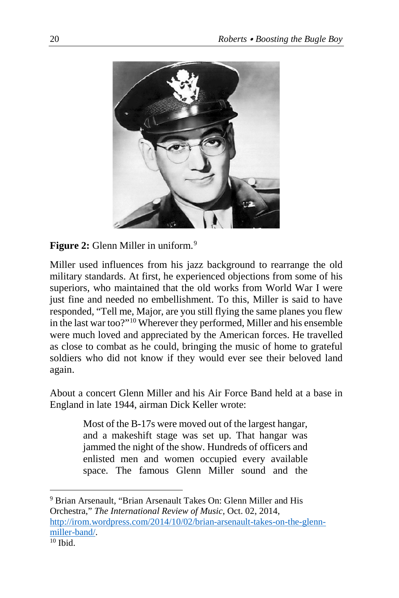

**Figure 2:** Glenn Miller in uniform.<sup>[9](#page-7-0)</sup>

Miller used influences from his jazz background to rearrange the old military standards. At first, he experienced objections from some of his superiors, who maintained that the old works from World War I were just fine and needed no embellishment. To this, Miller is said to have responded, "Tell me, Major, are you still flying the same planes you flew in the last war too?"[10](#page-7-1) Wherever they performed, Miller and his ensemble were much loved and appreciated by the American forces. He travelled as close to combat as he could, bringing the music of home to grateful soldiers who did not know if they would ever see their beloved land again.

About a concert Glenn Miller and his Air Force Band held at a base in England in late 1944, airman Dick Keller wrote:

> Most of the B-17s were moved out of the largest hangar, and a makeshift stage was set up. That hangar was jammed the night of the show. Hundreds of officers and enlisted men and women occupied every available space. The famous Glenn Miller sound and the

<span id="page-7-1"></span><span id="page-7-0"></span><sup>9</sup> Brian Arsenault, "Brian Arsenault Takes On: Glenn Miller and His Orchestra," *The International Review of Music*, Oct. 02, 2014, [http://irom.wordpress.com/2014/10/02/brian-arsenault-takes-on-the-glenn-](http://irom.wordpress.com/2014/10/02/brian-arsenault-takes-on-the-glenn-miller-band/) $\frac{\text{miller-band}}{^{10} \text{Ibid}}$ .

 $\overline{\phantom{a}}$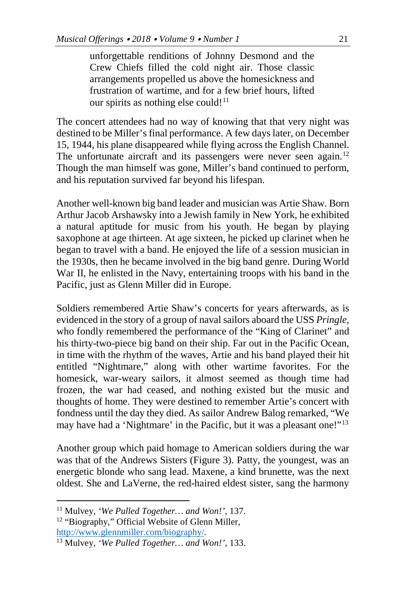unforgettable renditions of Johnny Desmond and the Crew Chiefs filled the cold night air. Those classic arrangements propelled us above the homesickness and frustration of wartime, and for a few brief hours, lifted our spirits as nothing else could! $11$ 

The concert attendees had no way of knowing that that very night was destined to be Miller's final performance. A few days later, on December 15, 1944, his plane disappeared while flying across the English Channel. The unfortunate aircraft and its passengers were never seen again.<sup>[12](#page-8-1)</sup> Though the man himself was gone, Miller's band continued to perform, and his reputation survived far beyond his lifespan.

Another well-known big band leader and musician was Artie Shaw. Born Arthur Jacob Arshawsky into a Jewish family in New York, he exhibited a natural aptitude for music from his youth. He began by playing saxophone at age thirteen. At age sixteen, he picked up clarinet when he began to travel with a band. He enjoyed the life of a session musician in the 1930s, then he became involved in the big band genre. During World War II, he enlisted in the Navy, entertaining troops with his band in the Pacific, just as Glenn Miller did in Europe.

Soldiers remembered Artie Shaw's concerts for years afterwards, as is evidenced in the story of a group of naval sailors aboard the USS *Pringle*, who fondly remembered the performance of the "King of Clarinet" and his thirty-two-piece big band on their ship. Far out in the Pacific Ocean, in time with the rhythm of the waves, Artie and his band played their hit entitled "Nightmare," along with other wartime favorites. For the homesick, war-weary sailors, it almost seemed as though time had frozen, the war had ceased, and nothing existed but the music and thoughts of home. They were destined to remember Artie's concert with fondness until the day they died. As sailor Andrew Balog remarked, "We may have had a 'Nightmare' in the Pacific, but it was a pleasant one!"[13](#page-8-2)

Another group which paid homage to American soldiers during the war was that of the Andrews Sisters (Figure 3). Patty, the youngest, was an energetic blonde who sang lead. Maxene, a kind brunette, was the next oldest. She and LaVerne, the red-haired eldest sister, sang the harmony

<span id="page-8-1"></span><sup>12</sup> "Biography," Official Website of Glenn Miller, [http://www.glennmiller.com/biography/.](http://www.glennmiller.com/biography/)

<span id="page-8-0"></span><sup>11</sup> Mulvey, *'We Pulled Together… and Won!'*, 137.

<span id="page-8-2"></span><sup>13</sup> Mulvey, *'We Pulled Together… and Won!'*, 133.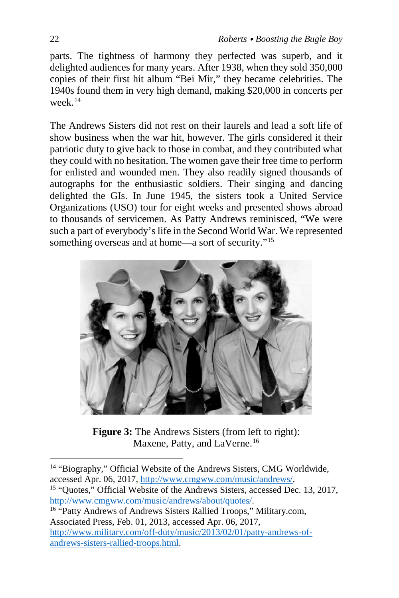parts. The tightness of harmony they perfected was superb, and it delighted audiences for many years. After 1938, when they sold 350,000 copies of their first hit album "Bei Mir," they became celebrities. The 1940s found them in very high demand, making \$20,000 in concerts per week.<sup>[14](#page-9-0)</sup>

The Andrews Sisters did not rest on their laurels and lead a soft life of show business when the war hit, however. The girls considered it their patriotic duty to give back to those in combat, and they contributed what they could with no hesitation. The women gave their free time to perform for enlisted and wounded men. They also readily signed thousands of autographs for the enthusiastic soldiers. Their singing and dancing delighted the GIs. In June 1945, the sisters took a United Service Organizations (USO) tour for eight weeks and presented shows abroad to thousands of servicemen. As Patty Andrews reminisced, "We were such a part of everybody's life in the Second World War. We represented something overseas and at home—a sort of security."<sup>[15](#page-9-1)</sup>



**Figure 3:** The Andrews Sisters (from left to right): Maxene, Patty, and LaVerne.<sup>[16](#page-9-2)</sup>

<span id="page-9-2"></span><sup>16</sup> "Patty Andrews of Andrews Sisters Rallied Troops," Military.com, Associated Press, Feb. 01, 2013, accessed Apr. 06, 2017, [http://www.military.com/off-duty/music/2013/02/01/patty-andrews-of](http://www.military.com/off-duty/music/2013/02/01/patty-andrews-of-andrews-sisters-rallied-troops.html)[andrews-sisters-rallied-troops.html.](http://www.military.com/off-duty/music/2013/02/01/patty-andrews-of-andrews-sisters-rallied-troops.html)

<span id="page-9-0"></span><sup>&</sup>lt;sup>14</sup> "Biography," Official Website of the Andrews Sisters, CMG Worldwide, accessed Apr. 06, 2017, [http://www.cmgww.com/music/andrews/.](http://www.cmgww.com/music/andrews/)

<span id="page-9-1"></span><sup>&</sup>lt;sup>15</sup> "Quotes," Official Website of the Andrews Sisters, accessed Dec. 13, 2017, [http://www.cmgww.com/music/andrews/about/quotes/.](http://www.cmgww.com/music/andrews/about/quotes/)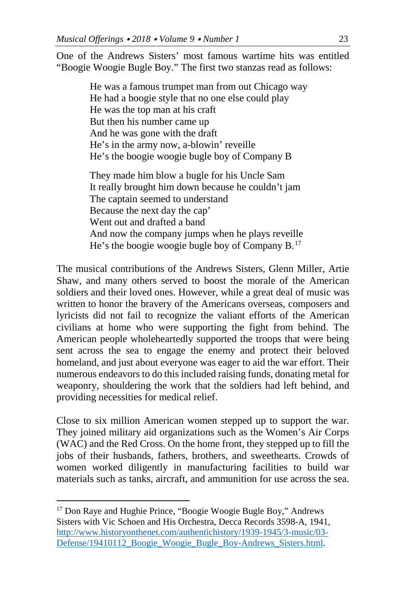One of the Andrews Sisters' most famous wartime hits was entitled "Boogie Woogie Bugle Boy." The first two stanzas read as follows:

> He was a famous trumpet man from out Chicago way He had a boogie style that no one else could play He was the top man at his craft But then his number came up And he was gone with the draft He's in the army now, a-blowin' reveille He's the boogie woogie bugle boy of Company B They made him blow a bugle for his Uncle Sam It really brought him down because he couldn't jam The captain seemed to understand Because the next day the cap' Went out and drafted a band And now the company jumps when he plays reveille He's the boogie woogie bugle boy of Company B.<sup>[17](#page-10-0)</sup>

The musical contributions of the Andrews Sisters, Glenn Miller, Artie Shaw, and many others served to boost the morale of the American soldiers and their loved ones. However, while a great deal of music was written to honor the bravery of the Americans overseas, composers and lyricists did not fail to recognize the valiant efforts of the American civilians at home who were supporting the fight from behind. The American people wholeheartedly supported the troops that were being sent across the sea to engage the enemy and protect their beloved homeland, and just about everyone was eager to aid the war effort. Their numerous endeavors to do this included raising funds, donating metal for weaponry, shouldering the work that the soldiers had left behind, and providing necessities for medical relief.

Close to six million American women stepped up to support the war. They joined military aid organizations such as the Women's Air Corps (WAC) and the Red Cross. On the home front, they stepped up to fill the jobs of their husbands, fathers, brothers, and sweethearts. Crowds of women worked diligently in manufacturing facilities to build war materials such as tanks, aircraft, and ammunition for use across the sea.

<span id="page-10-0"></span><sup>17</sup> Don Raye and Hughie Prince, "Boogie Woogie Bugle Boy," Andrews Sisters with Vic Schoen and His Orchestra, Decca Records 3598-A, 1941, [http://www.historyonthenet.com/authentichistory/1939-1945/3-music/03-](http://www.historyonthenet.com/authentichistory/1939-1945/3-music/03-Defense/19410112_Boogie_Woogie_Bugle_Boy-Andrews_Sisters.html) [Defense/19410112\\_Boogie\\_Woogie\\_Bugle\\_Boy-Andrews\\_Sisters.html.](http://www.historyonthenet.com/authentichistory/1939-1945/3-music/03-Defense/19410112_Boogie_Woogie_Bugle_Boy-Andrews_Sisters.html)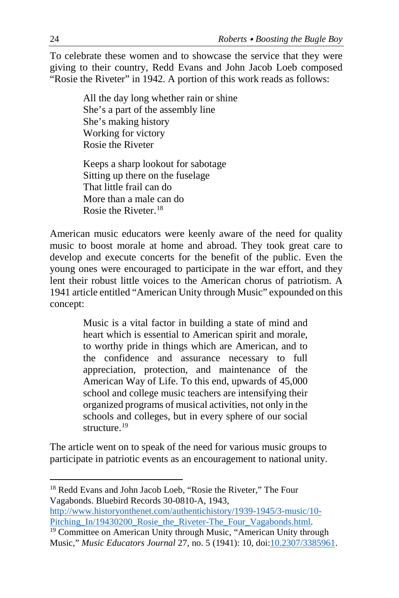To celebrate these women and to showcase the service that they were giving to their country, Redd Evans and John Jacob Loeb composed "Rosie the Riveter" in 1942. A portion of this work reads as follows:

> All the day long whether rain or shine She's a part of the assembly line She's making history Working for victory Rosie the Riveter

Keeps a sharp lookout for sabotage Sitting up there on the fuselage That little frail can do More than a male can do Rosie the Riveter. [18](#page-11-0)

American music educators were keenly aware of the need for quality music to boost morale at home and abroad. They took great care to develop and execute concerts for the benefit of the public. Even the young ones were encouraged to participate in the war effort, and they lent their robust little voices to the American chorus of patriotism. A 1941 article entitled "American Unity through Music" expounded on this concept:

> Music is a vital factor in building a state of mind and heart which is essential to American spirit and morale, to worthy pride in things which are American, and to the confidence and assurance necessary to full appreciation, protection, and maintenance of the American Way of Life. To this end, upwards of 45,000 school and college music teachers are intensifying their organized programs of musical activities, not only in the schools and colleges, but in every sphere of our social structure. [19](#page-11-1)

The article went on to speak of the need for various music groups to participate in patriotic events as an encouragement to national unity.

 $\overline{a}$ 

<span id="page-11-0"></span><sup>&</sup>lt;sup>18</sup> Redd Evans and John Jacob Loeb, "Rosie the Riveter," The Four Vagabonds. Bluebird Records 30-0810-A, 1943,

[http://www.historyonthenet.com/authentichistory/1939-1945/3-music/10-](http://www.historyonthenet.com/authentichistory/1939-1945/3-music/10-Pitching_In/19430200_Rosie_the_Riveter-The_Four_Vagabonds.html) Pitching In/19430200 Rosie the Riveter-The Four Vagabonds.html.

<span id="page-11-1"></span><sup>&</sup>lt;sup>19</sup> Committee on American Unity through Music, "American Unity through Music," *Music Educators Journal* 27, no. 5 (1941): 10, doi[:10.2307/3385961.](http://doi.org/10.2307/3385961)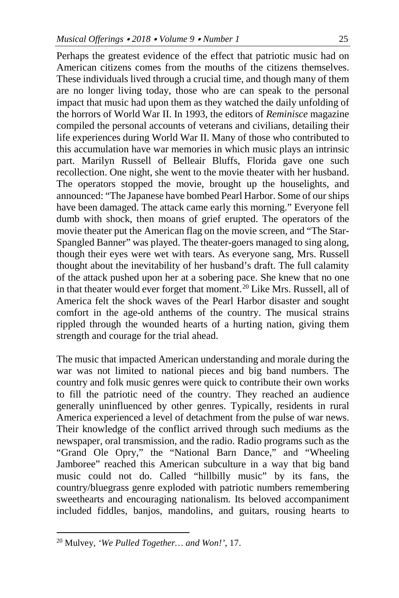Perhaps the greatest evidence of the effect that patriotic music had on American citizens comes from the mouths of the citizens themselves. These individuals lived through a crucial time, and though many of them are no longer living today, those who are can speak to the personal impact that music had upon them as they watched the daily unfolding of the horrors of World War II. In 1993, the editors of *Reminisce* magazine compiled the personal accounts of veterans and civilians, detailing their life experiences during World War II. Many of those who contributed to this accumulation have war memories in which music plays an intrinsic part. Marilyn Russell of Belleair Bluffs, Florida gave one such recollection. One night, she went to the movie theater with her husband. The operators stopped the movie, brought up the houselights, and announced: "The Japanese have bombed Pearl Harbor. Some of our ships have been damaged. The attack came early this morning." Everyone fell dumb with shock, then moans of grief erupted. The operators of the movie theater put the American flag on the movie screen, and "The Star-Spangled Banner" was played. The theater-goers managed to sing along, though their eyes were wet with tears. As everyone sang, Mrs. Russell thought about the inevitability of her husband's draft. The full calamity of the attack pushed upon her at a sobering pace. She knew that no one in that theater would ever forget that moment.<sup>[20](#page-12-0)</sup> Like Mrs. Russell, all of America felt the shock waves of the Pearl Harbor disaster and sought comfort in the age-old anthems of the country. The musical strains rippled through the wounded hearts of a hurting nation, giving them strength and courage for the trial ahead.

The music that impacted American understanding and morale during the war was not limited to national pieces and big band numbers. The country and folk music genres were quick to contribute their own works to fill the patriotic need of the country. They reached an audience generally uninfluenced by other genres. Typically, residents in rural America experienced a level of detachment from the pulse of war news. Their knowledge of the conflict arrived through such mediums as the newspaper, oral transmission, and the radio. Radio programs such as the "Grand Ole Opry," the "National Barn Dance," and "Wheeling Jamboree" reached this American subculture in a way that big band music could not do. Called "hillbilly music" by its fans, the country/bluegrass genre exploded with patriotic numbers remembering sweethearts and encouraging nationalism. Its beloved accompaniment included fiddles, banjos, mandolins, and guitars, rousing hearts to

<span id="page-12-0"></span><sup>20</sup> Mulvey, *'We Pulled Together… and Won!'*, 17.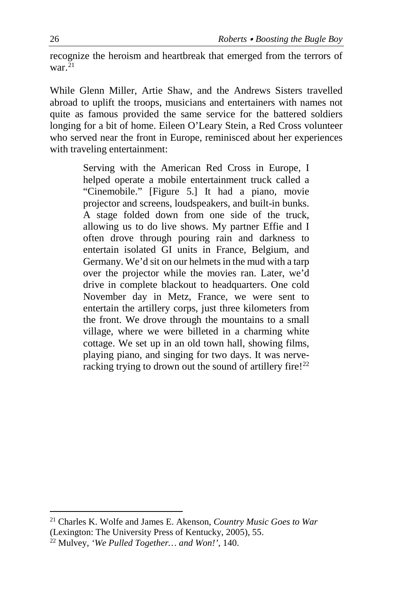recognize the heroism and heartbreak that emerged from the terrors of war. $21$ 

While Glenn Miller, Artie Shaw, and the Andrews Sisters travelled abroad to uplift the troops, musicians and entertainers with names not quite as famous provided the same service for the battered soldiers longing for a bit of home. Eileen O'Leary Stein, a Red Cross volunteer who served near the front in Europe, reminisced about her experiences with traveling entertainment:

> Serving with the American Red Cross in Europe, I helped operate a mobile entertainment truck called a "Cinemobile." [Figure 5.] It had a piano, movie projector and screens, loudspeakers, and built-in bunks. A stage folded down from one side of the truck, allowing us to do live shows. My partner Effie and I often drove through pouring rain and darkness to entertain isolated GI units in France, Belgium, and Germany. We'd sit on our helmets in the mud with a tarp over the projector while the movies ran. Later, we'd drive in complete blackout to headquarters. One cold November day in Metz, France, we were sent to entertain the artillery corps, just three kilometers from the front. We drove through the mountains to a small village, where we were billeted in a charming white cottage. We set up in an old town hall, showing films, playing piano, and singing for two days. It was nerveracking trying to drown out the sound of artillery fire! $^{22}$  $^{22}$  $^{22}$

<span id="page-13-0"></span><sup>21</sup> Charles K. Wolfe and James E. Akenson, *Country Music Goes to War* (Lexington: The University Press of Kentucky, 2005), 55.

<span id="page-13-1"></span><sup>22</sup> Mulvey, *'We Pulled Together… and Won!'*, 140.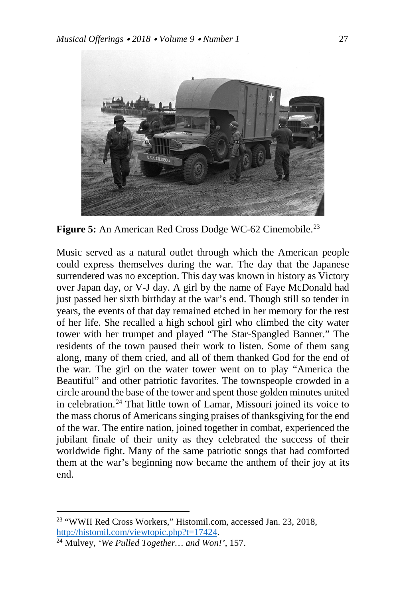

**Figure 5:** An American Red Cross Dodge WC-62 Cinemobile. [23](#page-14-0)

Music served as a natural outlet through which the American people could express themselves during the war. The day that the Japanese surrendered was no exception. This day was known in history as Victory over Japan day, or V-J day. A girl by the name of Faye McDonald had just passed her sixth birthday at the war's end. Though still so tender in years, the events of that day remained etched in her memory for the rest of her life. She recalled a high school girl who climbed the city water tower with her trumpet and played "The Star-Spangled Banner." The residents of the town paused their work to listen. Some of them sang along, many of them cried, and all of them thanked God for the end of the war. The girl on the water tower went on to play "America the Beautiful" and other patriotic favorites. The townspeople crowded in a circle around the base of the tower and spent those golden minutes united in celebration.[24](#page-14-1) That little town of Lamar, Missouri joined its voice to the mass chorus of Americans singing praises of thanksgiving for the end of the war. The entire nation, joined together in combat, experienced the jubilant finale of their unity as they celebrated the success of their worldwide fight. Many of the same patriotic songs that had comforted them at the war's beginning now became the anthem of their joy at its end.

<span id="page-14-0"></span><sup>23</sup> "WWII Red Cross Workers," Histomil.com, accessed Jan. 23, 2018, [http://histomil.com/viewtopic.php?t=17424.](http://histomil.com/viewtopic.php?t=17424) 24 Mulvey, *'We Pulled Together… and Won!'*, 157.

<span id="page-14-1"></span>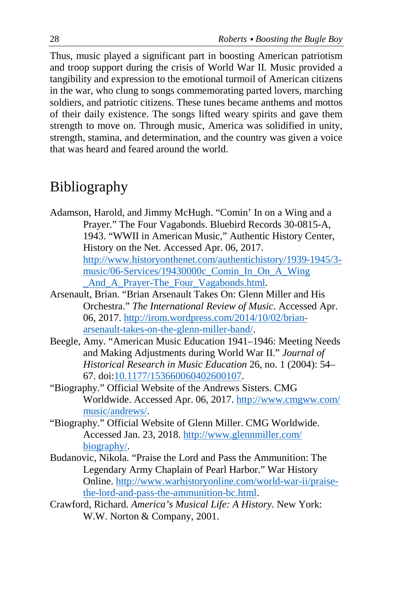Thus, music played a significant part in boosting American patriotism and troop support during the crisis of World War II. Music provided a tangibility and expression to the emotional turmoil of American citizens in the war, who clung to songs commemorating parted lovers, marching soldiers, and patriotic citizens. These tunes became anthems and mottos of their daily existence. The songs lifted weary spirits and gave them strength to move on. Through music, America was solidified in unity, strength, stamina, and determination, and the country was given a voice that was heard and feared around the world.

## Bibliography

- Adamson, Harold, and Jimmy McHugh. "Comin' In on a Wing and a Prayer." The Four Vagabonds. Bluebird Records 30-0815-A, 1943. "WWII in American Music," Authentic History Center, History on the Net. Accessed Apr. 06, 2017. [http://www.historyonthenet.com/authentichistory/1939-1945/3](http://www.historyonthenet.com/authentichistory/1939-1945/3-music/06-Services/19430000c_Comin_In_On_A_Wing_And_A_Prayer-The_Four_Vagabonds.html) [music/06-Services/19430000c\\_Comin\\_In\\_On\\_A\\_Wing](http://www.historyonthenet.com/authentichistory/1939-1945/3-music/06-Services/19430000c_Comin_In_On_A_Wing_And_A_Prayer-The_Four_Vagabonds.html) [\\_And\\_A\\_Prayer-The\\_Four\\_Vagabonds.html.](http://www.historyonthenet.com/authentichistory/1939-1945/3-music/06-Services/19430000c_Comin_In_On_A_Wing_And_A_Prayer-The_Four_Vagabonds.html)
- Arsenault, Brian. "Brian Arsenault Takes On: Glenn Miller and His Orchestra." *The International Review of Music*. Accessed Apr. 06, 2017. [http://irom.wordpress.com/2014/10/02/brian](http://irom.wordpress.com/2014/10/02/brian-arsenault-takes-on-the-glenn-miller-band/)[arsenault-takes-on-the-glenn-miller-band/.](http://irom.wordpress.com/2014/10/02/brian-arsenault-takes-on-the-glenn-miller-band/)
- Beegle, Amy. "American Music Education 1941–1946: Meeting Needs and Making Adjustments during World War II." *Journal of Historical Research in Music Education* 26, no. 1 (2004): 54– 67. doi[:10.1177/153660060402600107.](http://doi.org/10.1177/153660060402600107)
- "Biography." Official Website of the Andrews Sisters. CMG Worldwide. Accessed Apr. 06, 2017. [http://www.cmgww.com/](http://www.cmgww.com/music/andrews/) [music/andrews/.](http://www.cmgww.com/music/andrews/)
- "Biography." Official Website of Glenn Miller. CMG Worldwide. Accessed Jan. 23, 2018. [http://www.glennmiller.com/](http://www.glennmiller.com/biography/) [biography/.](http://www.glennmiller.com/biography/)
- Budanovic, Nikola. "Praise the Lord and Pass the Ammunition: The Legendary Army Chaplain of Pearl Harbor." War History Online. [http://www.warhistoryonline.com/world-war-ii/praise](http://www.warhistoryonline.com/world-war-ii/praise-the-lord-and-pass-the-ammunition-bc.html)[the-lord-and-pass-the-ammunition-bc.html.](http://www.warhistoryonline.com/world-war-ii/praise-the-lord-and-pass-the-ammunition-bc.html)
- Crawford, Richard. *America's Musical Life: A History*. New York: W.W. Norton & Company, 2001.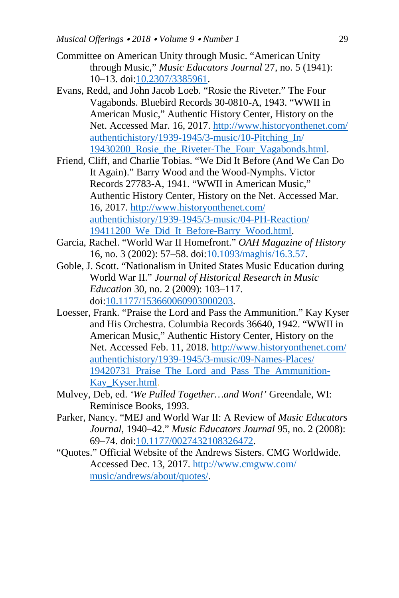- Committee on American Unity through Music. "American Unity through Music," *Music Educators Journal* 27, no. 5 (1941): 10–13. doi[:10.2307/3385961.](http://doi.org/10.2307/3385961)
- Evans, Redd, and John Jacob Loeb. "Rosie the Riveter." The Four Vagabonds. Bluebird Records 30-0810-A, 1943. "WWII in American Music," Authentic History Center, History on the Net. Accessed Mar. 16, 2017. [http://www.historyonthenet.com/](http://www.historyonthenet.com/authentichistory/1939-1945/3-music/10-Pitching_In/19430200_Rosie_the_Riveter-The_Four_Vagabonds.html) [authentichistory/1939-1945/3-music/10-Pitching\\_In/](http://www.historyonthenet.com/authentichistory/1939-1945/3-music/10-Pitching_In/19430200_Rosie_the_Riveter-The_Four_Vagabonds.html) 19430200 Rosie the Riveter-The Four Vagabonds.html.
- Friend, Cliff, and Charlie Tobias. "We Did It Before (And We Can Do It Again)." Barry Wood and the Wood-Nymphs. Victor Records 27783-A, 1941. "WWII in American Music," Authentic History Center, History on the Net. Accessed Mar. 16, 2017. [http://www.historyonthenet.com/](http://www.historyonthenet.com/authentichistory/1939-1945/3-music/04-PH-Reaction/19411200_We_Did_It_Before-Barry_Wood.html) [authentichistory/1939-1945/3-music/04-PH-Reaction/](http://www.historyonthenet.com/authentichistory/1939-1945/3-music/04-PH-Reaction/19411200_We_Did_It_Before-Barry_Wood.html) [19411200\\_We\\_Did\\_It\\_Before-Barry\\_Wood.html.](http://www.historyonthenet.com/authentichistory/1939-1945/3-music/04-PH-Reaction/19411200_We_Did_It_Before-Barry_Wood.html)
- Garcia, Rachel. "World War II Homefront." *OAH Magazine of History*  16, no. 3 (2002): 57–58. doi[:10.1093/maghis/16.3.57.](http://doi.org/10.1093/maghis/16.3.57)
- Goble, J. Scott. "Nationalism in United States Music Education during World War II." *Journal of Historical Research in Music Education* 30, no. 2 (2009): 103–117. doi[:10.1177/153660060903000203.](http://doi.org/10.1177/153660060903000203)
- Loesser, Frank. "Praise the Lord and Pass the Ammunition." Kay Kyser and His Orchestra. Columbia Records 36640, 1942. "WWII in American Music," Authentic History Center, History on the Net. Accessed Feb. 11, 2018. [http://www.historyonthenet.com/](http://www.historyonthenet.com/authentichistory/1939-1945/3-music/09-Names-Places/19420731_Praise_The_Lord_and_Pass_The_Ammunition-Kay_Kyser.html) [authentichistory/1939-1945/3-music/09-Names-Places/](http://www.historyonthenet.com/authentichistory/1939-1945/3-music/09-Names-Places/19420731_Praise_The_Lord_and_Pass_The_Ammunition-Kay_Kyser.html) [19420731\\_Praise\\_The\\_Lord\\_and\\_Pass\\_The\\_Ammunition-](http://www.historyonthenet.com/authentichistory/1939-1945/3-music/09-Names-Places/19420731_Praise_The_Lord_and_Pass_The_Ammunition-Kay_Kyser.html)[Kay\\_Kyser.html.](http://www.historyonthenet.com/authentichistory/1939-1945/3-music/09-Names-Places/19420731_Praise_The_Lord_and_Pass_The_Ammunition-Kay_Kyser.html)
- Mulvey, Deb, ed. *'We Pulled Together…and Won!'* Greendale, WI: Reminisce Books, 1993.
- Parker, Nancy. "MEJ and World War II: A Review of *Music Educators Journal*, 1940–42." *Music Educators Journal* 95, no. 2 (2008): 69–74. doi[:10.1177/0027432108326472.](http://doi.org/10.1177/0027432108326472)
- "Quotes." Official Website of the Andrews Sisters. CMG Worldwide. Accessed Dec. 13, 2017. [http://www.cmgww.com/](http://www.cmgww.com/music/andrews/about/quotes/) [music/andrews/about/quotes/.](http://www.cmgww.com/music/andrews/about/quotes/)